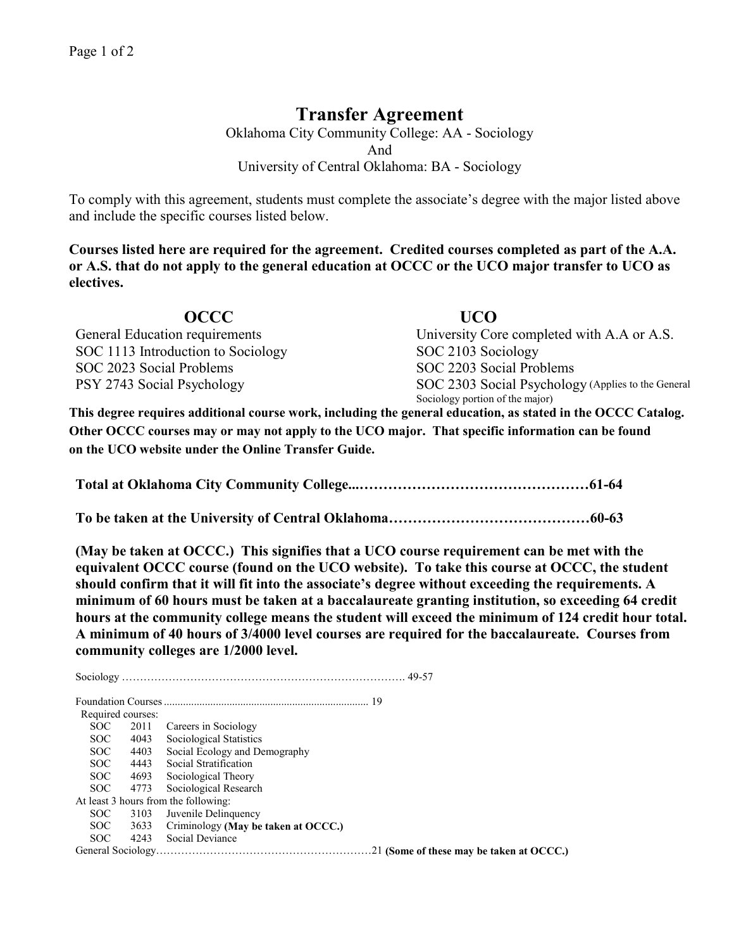## **Transfer Agreement**

Oklahoma City Community College: AA - Sociology And University of Central Oklahoma: BA - Sociology

To comply with this agreement, students must complete the associate's degree with the major listed above and include the specific courses listed below.

**Courses listed here are required for the agreement. Credited courses completed as part of the A.A. or A.S. that do not apply to the general education at OCCC or the UCO major transfer to UCO as electives.**

| OCCC                               | UCO                                                |
|------------------------------------|----------------------------------------------------|
| General Education requirements     | University Core completed with A.A or A.S.         |
| SOC 1113 Introduction to Sociology | SOC 2103 Sociology                                 |
| SOC 2023 Social Problems           | SOC 2203 Social Problems                           |
| PSY 2743 Social Psychology         | SOC 2303 Social Psychology (Applies to the General |
|                                    | Sociology portion of the major)                    |

**This degree requires additional course work, including the general education, as stated in the OCCC Catalog. Other OCCC courses may or may not apply to the UCO major. That specific information can be found on the UCO website under the Online Transfer Guide.**

**Total at Oklahoma City Community College...…………………………………………61-64**

**To be taken at the University of Central Oklahoma……………………………………60-63**

**(May be taken at OCCC.) This signifies that a UCO course requirement can be met with the equivalent OCCC course (found on the UCO website). To take this course at OCCC, the student should confirm that it will fit into the associate's degree without exceeding the requirements. A minimum of 60 hours must be taken at a baccalaureate granting institution, so exceeding 64 credit hours at the community college means the student will exceed the minimum of 124 credit hour total. A minimum of 40 hours of 3/4000 level courses are required for the baccalaureate. Courses from community colleges are 1/2000 level.**

Sociology ……………………………………………………………………. 49-57 Foundation Courses........................................................................... 19 Required courses: SOC 2011 Careers in Sociology<br>SOC 4043 Sociological Statistics SOC 4043 Sociological Statistics<br>SOC 4403 Social Ecology and De 4403 Social Ecology and Demography SOC 4443 Social Stratification SOC 4693 Sociological Theory SOC 4773 Sociological Research At least 3 hours from the following: SOC 3103 Juvenile Delinquency SOC 3633 Criminology **(May be taken at OCCC.)**<br>SOC 4243 Social Deviance 4243 Social Deviance General Sociology……………………………………………………21 **(Some of these may be taken at OCCC.)**